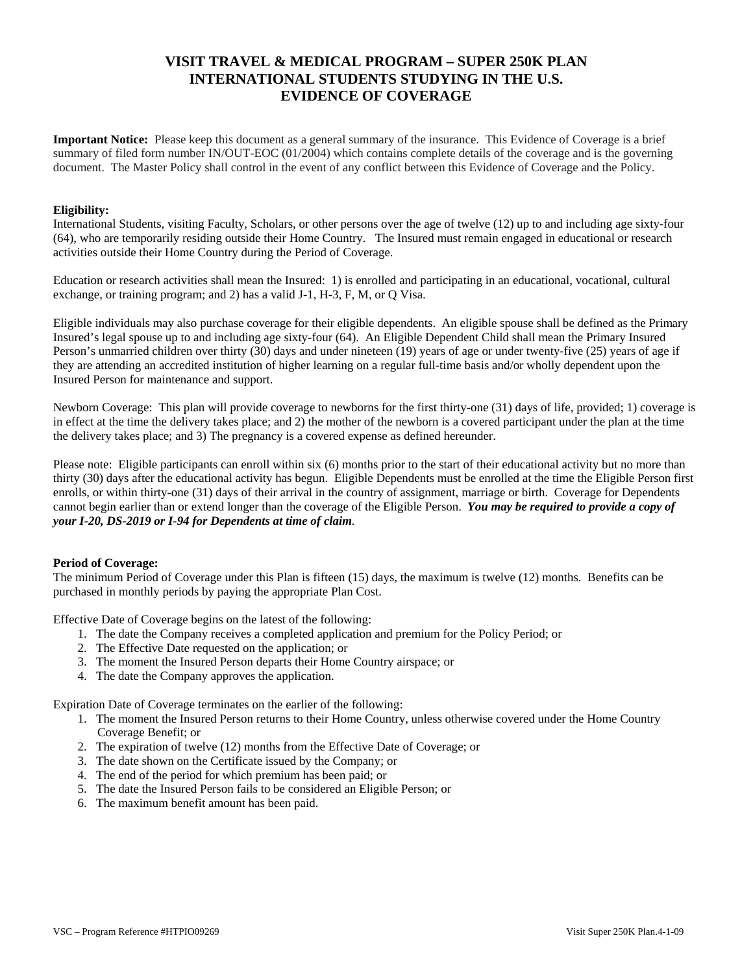# **VISIT TRAVEL & MEDICAL PROGRAM – SUPER 250K PLAN INTERNATIONAL STUDENTS STUDYING IN THE U.S. EVIDENCE OF COVERAGE**

**Important Notice:** Please keep this document as a general summary of the insurance. This Evidence of Coverage is a brief summary of filed form number IN/OUT-EOC (01/2004) which contains complete details of the coverage and is the governing document. The Master Policy shall control in the event of any conflict between this Evidence of Coverage and the Policy.

### **Eligibility:**

International Students, visiting Faculty, Scholars, or other persons over the age of twelve (12) up to and including age sixty-four (64), who are temporarily residing outside their Home Country. The Insured must remain engaged in educational or research activities outside their Home Country during the Period of Coverage.

Education or research activities shall mean the Insured: 1) is enrolled and participating in an educational, vocational, cultural exchange, or training program; and 2) has a valid J-1, H-3, F, M, or Q Visa.

Eligible individuals may also purchase coverage for their eligible dependents. An eligible spouse shall be defined as the Primary Insured's legal spouse up to and including age sixty-four (64). An Eligible Dependent Child shall mean the Primary Insured Person's unmarried children over thirty (30) days and under nineteen (19) years of age or under twenty-five (25) years of age if they are attending an accredited institution of higher learning on a regular full-time basis and/or wholly dependent upon the Insured Person for maintenance and support.

Newborn Coverage: This plan will provide coverage to newborns for the first thirty-one (31) days of life, provided; 1) coverage is in effect at the time the delivery takes place; and 2) the mother of the newborn is a covered participant under the plan at the time the delivery takes place; and 3) The pregnancy is a covered expense as defined hereunder.

Please note: Eligible participants can enroll within six (6) months prior to the start of their educational activity but no more than thirty (30) days after the educational activity has begun. Eligible Dependents must be enrolled at the time the Eligible Person first enrolls, or within thirty-one (31) days of their arrival in the country of assignment, marriage or birth. Coverage for Dependents cannot begin earlier than or extend longer than the coverage of the Eligible Person. *You may be required to provide a copy of your I-20, DS-2019 or I-94 for Dependents at time of claim.*

# **Period of Coverage:**

The minimum Period of Coverage under this Plan is fifteen (15) days, the maximum is twelve (12) months. Benefits can be purchased in monthly periods by paying the appropriate Plan Cost.

Effective Date of Coverage begins on the latest of the following:

- 1. The date the Company receives a completed application and premium for the Policy Period; or
- 2. The Effective Date requested on the application; or
- 3. The moment the Insured Person departs their Home Country airspace; or
- 4. The date the Company approves the application.

Expiration Date of Coverage terminates on the earlier of the following:

- 1. The moment the Insured Person returns to their Home Country, unless otherwise covered under the Home Country Coverage Benefit; or
- 2. The expiration of twelve (12) months from the Effective Date of Coverage; or
- 3. The date shown on the Certificate issued by the Company; or
- 4. The end of the period for which premium has been paid; or
- 5. The date the Insured Person fails to be considered an Eligible Person; or
- 6. The maximum benefit amount has been paid.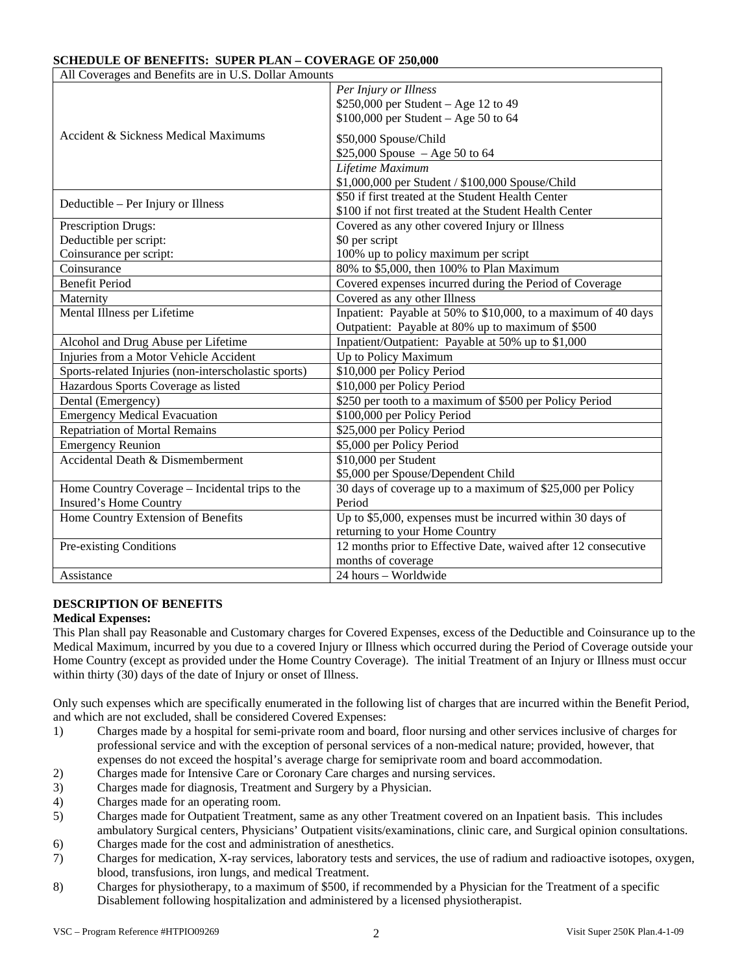# **SCHEDULE OF BENEFITS: SUPER PLAN – COVERAGE OF 250,000**

| All Coverages and Benefits are in U.S. Dollar Amounts |                                                                |  |  |
|-------------------------------------------------------|----------------------------------------------------------------|--|--|
|                                                       | Per Injury or Illness                                          |  |  |
|                                                       | $$250,000$ per Student - Age 12 to 49                          |  |  |
|                                                       | \$100,000 per Student - Age 50 to 64                           |  |  |
| Accident & Sickness Medical Maximums                  | \$50,000 Spouse/Child                                          |  |  |
|                                                       | \$25,000 Spouse $-$ Age 50 to 64                               |  |  |
|                                                       | Lifetime Maximum                                               |  |  |
| Deductible – Per Injury or Illness                    | \$1,000,000 per Student / \$100,000 Spouse/Child               |  |  |
|                                                       | \$50 if first treated at the Student Health Center             |  |  |
|                                                       | \$100 if not first treated at the Student Health Center        |  |  |
| Prescription Drugs:                                   | Covered as any other covered Injury or Illness                 |  |  |
| Deductible per script:                                | \$0 per script                                                 |  |  |
| Coinsurance per script:                               | 100% up to policy maximum per script                           |  |  |
| Coinsurance                                           | 80% to \$5,000, then 100% to Plan Maximum                      |  |  |
| <b>Benefit Period</b>                                 | Covered expenses incurred during the Period of Coverage        |  |  |
| Maternity                                             | Covered as any other Illness                                   |  |  |
| Mental Illness per Lifetime                           | Inpatient: Payable at 50% to \$10,000, to a maximum of 40 days |  |  |
|                                                       | Outpatient: Payable at 80% up to maximum of \$500              |  |  |
| Alcohol and Drug Abuse per Lifetime                   | Inpatient/Outpatient: Payable at 50% up to \$1,000             |  |  |
| Injuries from a Motor Vehicle Accident                | Up to Policy Maximum                                           |  |  |
| Sports-related Injuries (non-interscholastic sports)  | \$10,000 per Policy Period                                     |  |  |
| Hazardous Sports Coverage as listed                   | \$10,000 per Policy Period                                     |  |  |
| Dental (Emergency)                                    | \$250 per tooth to a maximum of \$500 per Policy Period        |  |  |
| <b>Emergency Medical Evacuation</b>                   | \$100,000 per Policy Period                                    |  |  |
| <b>Repatriation of Mortal Remains</b>                 | \$25,000 per Policy Period                                     |  |  |
| <b>Emergency Reunion</b>                              | \$5,000 per Policy Period                                      |  |  |
| Accidental Death & Dismemberment                      | \$10,000 per Student                                           |  |  |
|                                                       | \$5,000 per Spouse/Dependent Child                             |  |  |
| Home Country Coverage – Incidental trips to the       | 30 days of coverage up to a maximum of \$25,000 per Policy     |  |  |
| Insured's Home Country                                | Period                                                         |  |  |
| Home Country Extension of Benefits                    | Up to \$5,000, expenses must be incurred within 30 days of     |  |  |
|                                                       | returning to your Home Country                                 |  |  |
| Pre-existing Conditions                               | 12 months prior to Effective Date, waived after 12 consecutive |  |  |
|                                                       | months of coverage                                             |  |  |
| Assistance                                            | 24 hours - Worldwide                                           |  |  |

# **DESCRIPTION OF BENEFITS**

### **Medical Expenses:**

This Plan shall pay Reasonable and Customary charges for Covered Expenses, excess of the Deductible and Coinsurance up to the Medical Maximum, incurred by you due to a covered Injury or Illness which occurred during the Period of Coverage outside your Home Country (except as provided under the Home Country Coverage). The initial Treatment of an Injury or Illness must occur within thirty (30) days of the date of Injury or onset of Illness.

Only such expenses which are specifically enumerated in the following list of charges that are incurred within the Benefit Period, and which are not excluded, shall be considered Covered Expenses:

- 1) Charges made by a hospital for semi-private room and board, floor nursing and other services inclusive of charges for professional service and with the exception of personal services of a non-medical nature; provided, however, that expenses do not exceed the hospital's average charge for semiprivate room and board accommodation.
- 2) Charges made for Intensive Care or Coronary Care charges and nursing services.
- 3) Charges made for diagnosis, Treatment and Surgery by a Physician.
- 4) Charges made for an operating room.
- 5) Charges made for Outpatient Treatment, same as any other Treatment covered on an Inpatient basis. This includes ambulatory Surgical centers, Physicians' Outpatient visits/examinations, clinic care, and Surgical opinion consultations.
- 6) Charges made for the cost and administration of anesthetics.
- 7) Charges for medication, X-ray services, laboratory tests and services, the use of radium and radioactive isotopes, oxygen, blood, transfusions, iron lungs, and medical Treatment.
- 8) Charges for physiotherapy, to a maximum of \$500, if recommended by a Physician for the Treatment of a specific Disablement following hospitalization and administered by a licensed physiotherapist.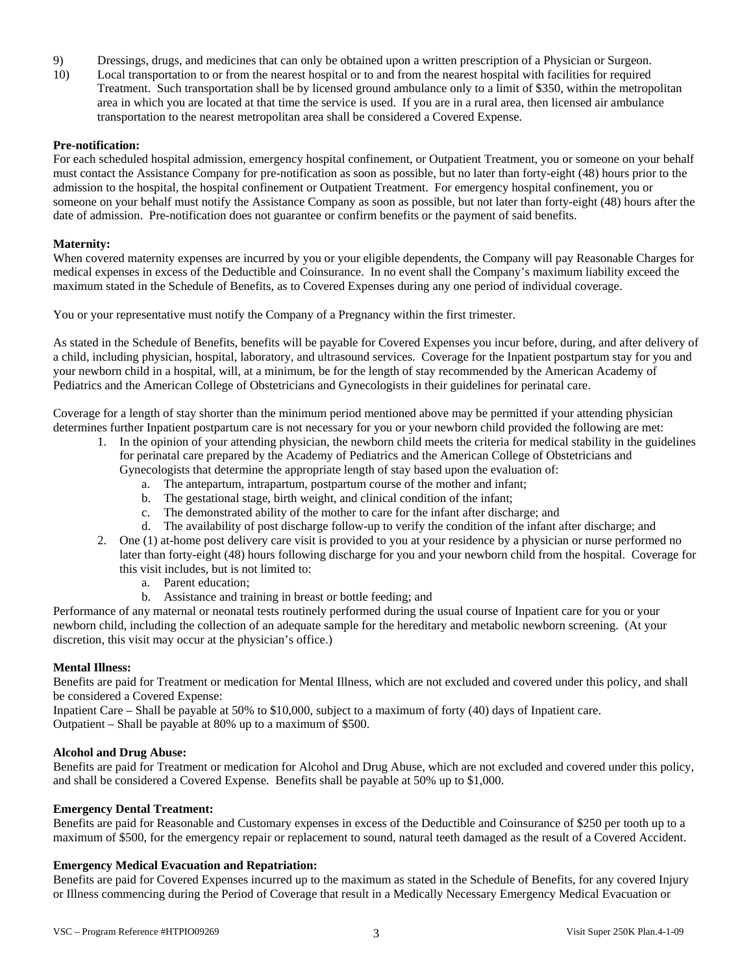- 9) Dressings, drugs, and medicines that can only be obtained upon a written prescription of a Physician or Surgeon.
- 10) Local transportation to or from the nearest hospital or to and from the nearest hospital with facilities for required Treatment. Such transportation shall be by licensed ground ambulance only to a limit of \$350, within the metropolitan area in which you are located at that time the service is used. If you are in a rural area, then licensed air ambulance transportation to the nearest metropolitan area shall be considered a Covered Expense.

### **Pre-notification:**

For each scheduled hospital admission, emergency hospital confinement, or Outpatient Treatment, you or someone on your behalf must contact the Assistance Company for pre-notification as soon as possible, but no later than forty-eight (48) hours prior to the admission to the hospital, the hospital confinement or Outpatient Treatment. For emergency hospital confinement, you or someone on your behalf must notify the Assistance Company as soon as possible, but not later than forty-eight (48) hours after the date of admission. Pre-notification does not guarantee or confirm benefits or the payment of said benefits.

### **Maternity:**

When covered maternity expenses are incurred by you or your eligible dependents, the Company will pay Reasonable Charges for medical expenses in excess of the Deductible and Coinsurance. In no event shall the Company's maximum liability exceed the maximum stated in the Schedule of Benefits, as to Covered Expenses during any one period of individual coverage.

You or your representative must notify the Company of a Pregnancy within the first trimester.

As stated in the Schedule of Benefits, benefits will be payable for Covered Expenses you incur before, during, and after delivery of a child, including physician, hospital, laboratory, and ultrasound services. Coverage for the Inpatient postpartum stay for you and your newborn child in a hospital, will, at a minimum, be for the length of stay recommended by the American Academy of Pediatrics and the American College of Obstetricians and Gynecologists in their guidelines for perinatal care.

Coverage for a length of stay shorter than the minimum period mentioned above may be permitted if your attending physician determines further Inpatient postpartum care is not necessary for you or your newborn child provided the following are met:

- 1. In the opinion of your attending physician, the newborn child meets the criteria for medical stability in the guidelines for perinatal care prepared by the Academy of Pediatrics and the American College of Obstetricians and
	- Gynecologists that determine the appropriate length of stay based upon the evaluation of:
		- a. The antepartum, intrapartum, postpartum course of the mother and infant;
		- b. The gestational stage, birth weight, and clinical condition of the infant;
		- c. The demonstrated ability of the mother to care for the infant after discharge; and
		- d. The availability of post discharge follow-up to verify the condition of the infant after discharge; and
- 2. One (1) at-home post delivery care visit is provided to you at your residence by a physician or nurse performed no later than forty-eight (48) hours following discharge for you and your newborn child from the hospital. Coverage for this visit includes, but is not limited to:
	- a. Parent education;
	- b. Assistance and training in breast or bottle feeding; and

Performance of any maternal or neonatal tests routinely performed during the usual course of Inpatient care for you or your newborn child, including the collection of an adequate sample for the hereditary and metabolic newborn screening. (At your discretion, this visit may occur at the physician's office.)

### **Mental Illness:**

Benefits are paid for Treatment or medication for Mental Illness, which are not excluded and covered under this policy, and shall be considered a Covered Expense:

Inpatient Care – Shall be payable at 50% to \$10,000, subject to a maximum of forty (40) days of Inpatient care. Outpatient – Shall be payable at 80% up to a maximum of \$500.

### **Alcohol and Drug Abuse:**

Benefits are paid for Treatment or medication for Alcohol and Drug Abuse, which are not excluded and covered under this policy, and shall be considered a Covered Expense. Benefits shall be payable at 50% up to \$1,000.

### **Emergency Dental Treatment:**

Benefits are paid for Reasonable and Customary expenses in excess of the Deductible and Coinsurance of \$250 per tooth up to a maximum of \$500, for the emergency repair or replacement to sound, natural teeth damaged as the result of a Covered Accident.

### **Emergency Medical Evacuation and Repatriation:**

Benefits are paid for Covered Expenses incurred up to the maximum as stated in the Schedule of Benefits, for any covered Injury or Illness commencing during the Period of Coverage that result in a Medically Necessary Emergency Medical Evacuation or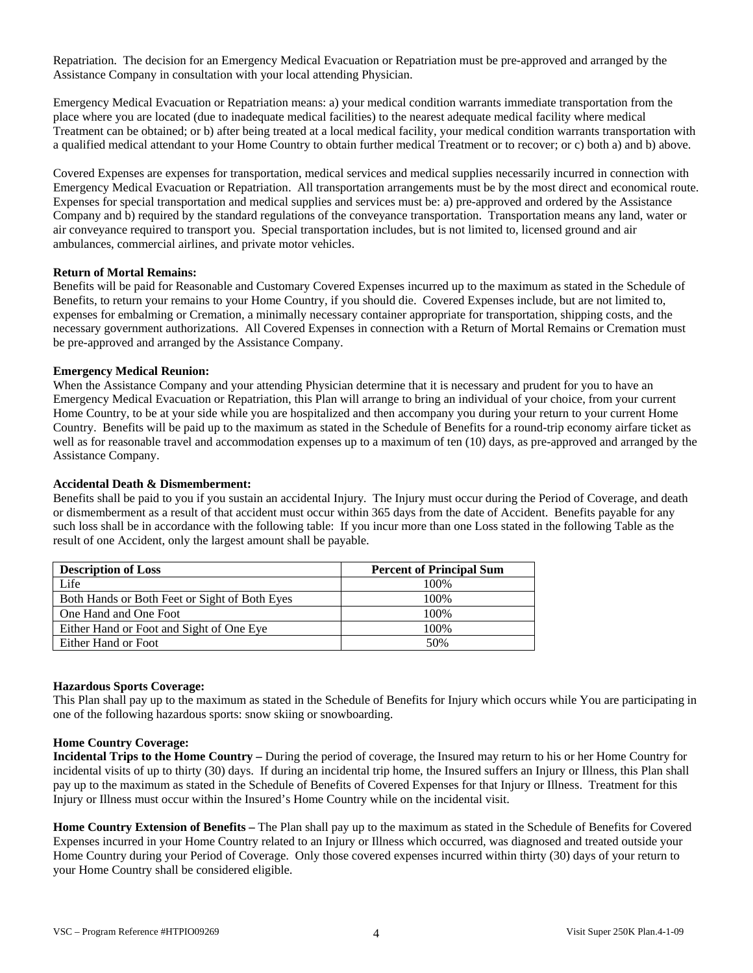Repatriation. The decision for an Emergency Medical Evacuation or Repatriation must be pre-approved and arranged by the Assistance Company in consultation with your local attending Physician.

Emergency Medical Evacuation or Repatriation means: a) your medical condition warrants immediate transportation from the place where you are located (due to inadequate medical facilities) to the nearest adequate medical facility where medical Treatment can be obtained; or b) after being treated at a local medical facility, your medical condition warrants transportation with a qualified medical attendant to your Home Country to obtain further medical Treatment or to recover; or c) both a) and b) above.

Covered Expenses are expenses for transportation, medical services and medical supplies necessarily incurred in connection with Emergency Medical Evacuation or Repatriation. All transportation arrangements must be by the most direct and economical route. Expenses for special transportation and medical supplies and services must be: a) pre-approved and ordered by the Assistance Company and b) required by the standard regulations of the conveyance transportation. Transportation means any land, water or air conveyance required to transport you. Special transportation includes, but is not limited to, licensed ground and air ambulances, commercial airlines, and private motor vehicles.

### **Return of Mortal Remains:**

Benefits will be paid for Reasonable and Customary Covered Expenses incurred up to the maximum as stated in the Schedule of Benefits, to return your remains to your Home Country, if you should die. Covered Expenses include, but are not limited to, expenses for embalming or Cremation, a minimally necessary container appropriate for transportation, shipping costs, and the necessary government authorizations. All Covered Expenses in connection with a Return of Mortal Remains or Cremation must be pre-approved and arranged by the Assistance Company.

### **Emergency Medical Reunion:**

When the Assistance Company and your attending Physician determine that it is necessary and prudent for you to have an Emergency Medical Evacuation or Repatriation, this Plan will arrange to bring an individual of your choice, from your current Home Country, to be at your side while you are hospitalized and then accompany you during your return to your current Home Country. Benefits will be paid up to the maximum as stated in the Schedule of Benefits for a round-trip economy airfare ticket as well as for reasonable travel and accommodation expenses up to a maximum of ten (10) days, as pre-approved and arranged by the Assistance Company.

### **Accidental Death & Dismemberment:**

Benefits shall be paid to you if you sustain an accidental Injury. The Injury must occur during the Period of Coverage, and death or dismemberment as a result of that accident must occur within 365 days from the date of Accident. Benefits payable for any such loss shall be in accordance with the following table: If you incur more than one Loss stated in the following Table as the result of one Accident, only the largest amount shall be payable.

| <b>Description of Loss</b>                    | <b>Percent of Principal Sum</b> |  |  |
|-----------------------------------------------|---------------------------------|--|--|
| Life                                          | 100\%                           |  |  |
| Both Hands or Both Feet or Sight of Both Eyes | 100\%                           |  |  |
| One Hand and One Foot                         | 100\%                           |  |  |
| Either Hand or Foot and Sight of One Eye      | 100%                            |  |  |
| Either Hand or Foot                           | 50%                             |  |  |

### **Hazardous Sports Coverage:**

This Plan shall pay up to the maximum as stated in the Schedule of Benefits for Injury which occurs while You are participating in one of the following hazardous sports: snow skiing or snowboarding.

### **Home Country Coverage:**

**Incidental Trips to the Home Country –** During the period of coverage, the Insured may return to his or her Home Country for incidental visits of up to thirty (30) days. If during an incidental trip home, the Insured suffers an Injury or Illness, this Plan shall pay up to the maximum as stated in the Schedule of Benefits of Covered Expenses for that Injury or Illness. Treatment for this Injury or Illness must occur within the Insured's Home Country while on the incidental visit.

**Home Country Extension of Benefits –** The Plan shall pay up to the maximum as stated in the Schedule of Benefits for Covered Expenses incurred in your Home Country related to an Injury or Illness which occurred, was diagnosed and treated outside your Home Country during your Period of Coverage. Only those covered expenses incurred within thirty (30) days of your return to your Home Country shall be considered eligible.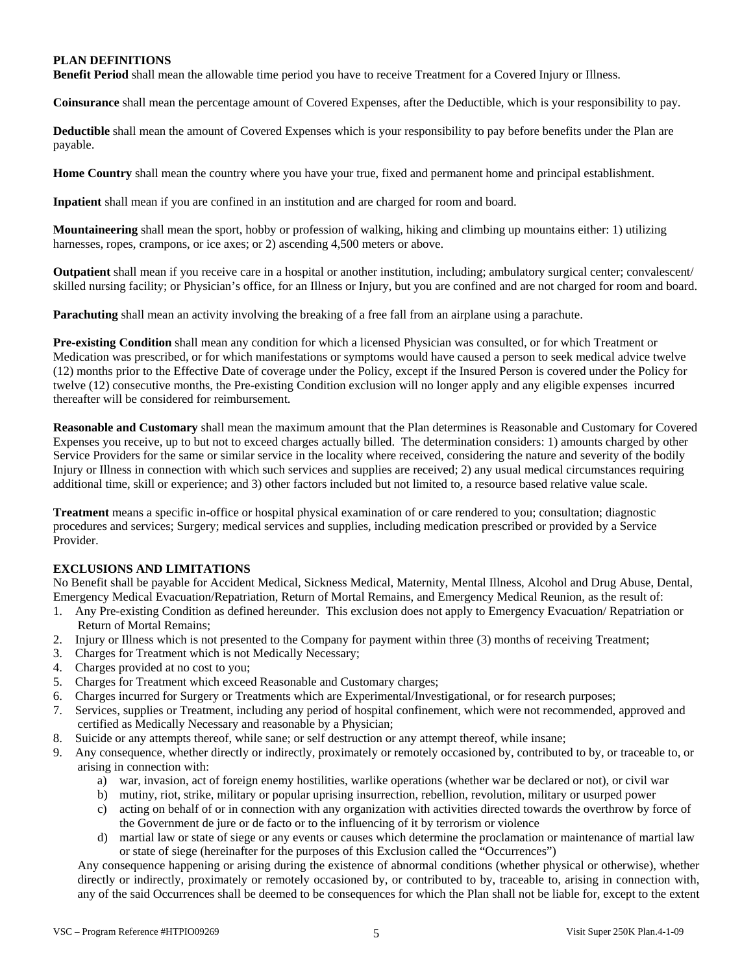# **PLAN DEFINITIONS**

**Benefit Period** shall mean the allowable time period you have to receive Treatment for a Covered Injury or Illness.

**Coinsurance** shall mean the percentage amount of Covered Expenses, after the Deductible, which is your responsibility to pay.

**Deductible** shall mean the amount of Covered Expenses which is your responsibility to pay before benefits under the Plan are payable.

**Home Country** shall mean the country where you have your true, fixed and permanent home and principal establishment.

**Inpatient** shall mean if you are confined in an institution and are charged for room and board.

**Mountaineering** shall mean the sport, hobby or profession of walking, hiking and climbing up mountains either: 1) utilizing harnesses, ropes, crampons, or ice axes; or 2) ascending 4,500 meters or above.

**Outpatient** shall mean if you receive care in a hospital or another institution, including; ambulatory surgical center; convalescent/ skilled nursing facility; or Physician's office, for an Illness or Injury, but you are confined and are not charged for room and board.

**Parachuting** shall mean an activity involving the breaking of a free fall from an airplane using a parachute.

**Pre-existing Condition** shall mean any condition for which a licensed Physician was consulted, or for which Treatment or Medication was prescribed, or for which manifestations or symptoms would have caused a person to seek medical advice twelve (12) months prior to the Effective Date of coverage under the Policy, except if the Insured Person is covered under the Policy for twelve (12) consecutive months, the Pre-existing Condition exclusion will no longer apply and any eligible expenses incurred thereafter will be considered for reimbursement.

**Reasonable and Customary** shall mean the maximum amount that the Plan determines is Reasonable and Customary for Covered Expenses you receive, up to but not to exceed charges actually billed. The determination considers: 1) amounts charged by other Service Providers for the same or similar service in the locality where received, considering the nature and severity of the bodily Injury or Illness in connection with which such services and supplies are received; 2) any usual medical circumstances requiring additional time, skill or experience; and 3) other factors included but not limited to, a resource based relative value scale.

**Treatment** means a specific in-office or hospital physical examination of or care rendered to you; consultation; diagnostic procedures and services; Surgery; medical services and supplies, including medication prescribed or provided by a Service Provider.

# **EXCLUSIONS AND LIMITATIONS**

No Benefit shall be payable for Accident Medical, Sickness Medical, Maternity, Mental Illness, Alcohol and Drug Abuse, Dental, Emergency Medical Evacuation/Repatriation, Return of Mortal Remains, and Emergency Medical Reunion, as the result of:

- 1. Any Pre-existing Condition as defined hereunder. This exclusion does not apply to Emergency Evacuation/ Repatriation or Return of Mortal Remains;
- 2. Injury or Illness which is not presented to the Company for payment within three (3) months of receiving Treatment;
- 3. Charges for Treatment which is not Medically Necessary;
- 4. Charges provided at no cost to you;
- 5. Charges for Treatment which exceed Reasonable and Customary charges;
- 6. Charges incurred for Surgery or Treatments which are Experimental/Investigational, or for research purposes;
- 7. Services, supplies or Treatment, including any period of hospital confinement, which were not recommended, approved and certified as Medically Necessary and reasonable by a Physician;
- 8. Suicide or any attempts thereof, while sane; or self destruction or any attempt thereof, while insane;
- 9. Any consequence, whether directly or indirectly, proximately or remotely occasioned by, contributed to by, or traceable to, or arising in connection with:
	- a) war, invasion, act of foreign enemy hostilities, warlike operations (whether war be declared or not), or civil war
	- b) mutiny, riot, strike, military or popular uprising insurrection, rebellion, revolution, military or usurped power
	- c) acting on behalf of or in connection with any organization with activities directed towards the overthrow by force of the Government de jure or de facto or to the influencing of it by terrorism or violence
	- d) martial law or state of siege or any events or causes which determine the proclamation or maintenance of martial law or state of siege (hereinafter for the purposes of this Exclusion called the "Occurrences")

Any consequence happening or arising during the existence of abnormal conditions (whether physical or otherwise), whether directly or indirectly, proximately or remotely occasioned by, or contributed to by, traceable to, arising in connection with, any of the said Occurrences shall be deemed to be consequences for which the Plan shall not be liable for, except to the extent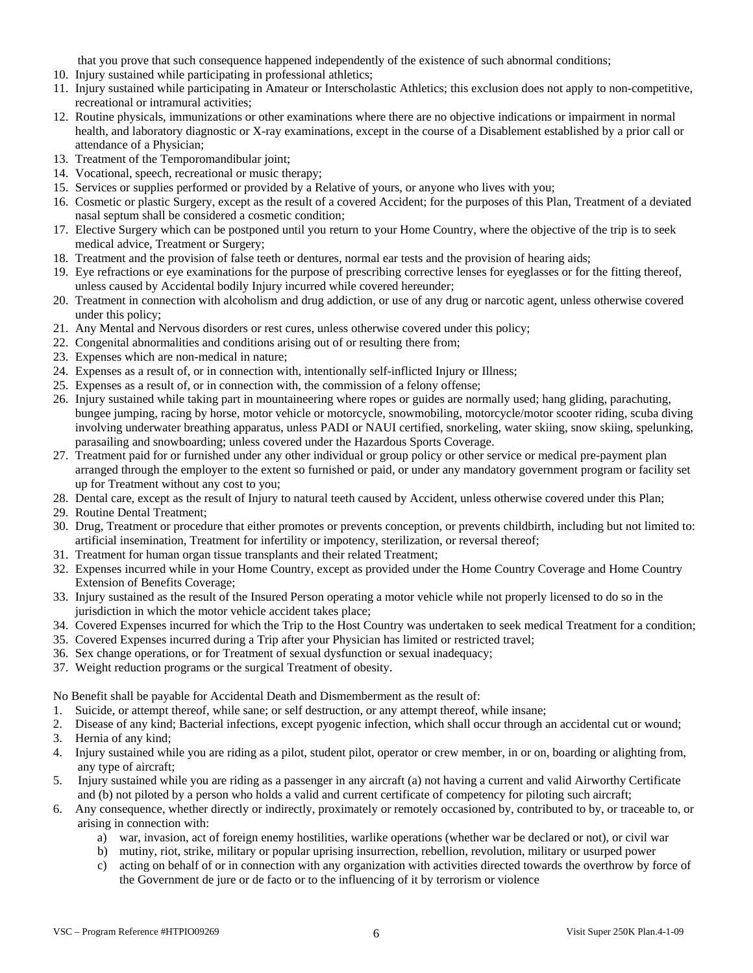that you prove that such consequence happened independently of the existence of such abnormal conditions;

- 10. Injury sustained while participating in professional athletics;
- 11. Injury sustained while participating in Amateur or Interscholastic Athletics; this exclusion does not apply to non-competitive, recreational or intramural activities;
- 12. Routine physicals, immunizations or other examinations where there are no objective indications or impairment in normal health, and laboratory diagnostic or X-ray examinations, except in the course of a Disablement established by a prior call or attendance of a Physician;
- 13. Treatment of the Temporomandibular joint;
- 14. Vocational, speech, recreational or music therapy;
- 15. Services or supplies performed or provided by a Relative of yours, or anyone who lives with you;
- 16. Cosmetic or plastic Surgery, except as the result of a covered Accident; for the purposes of this Plan, Treatment of a deviated nasal septum shall be considered a cosmetic condition;
- 17. Elective Surgery which can be postponed until you return to your Home Country, where the objective of the trip is to seek medical advice, Treatment or Surgery;
- 18. Treatment and the provision of false teeth or dentures, normal ear tests and the provision of hearing aids;
- 19. Eye refractions or eye examinations for the purpose of prescribing corrective lenses for eyeglasses or for the fitting thereof, unless caused by Accidental bodily Injury incurred while covered hereunder;
- 20. Treatment in connection with alcoholism and drug addiction, or use of any drug or narcotic agent, unless otherwise covered under this policy;
- 21. Any Mental and Nervous disorders or rest cures, unless otherwise covered under this policy;
- 22. Congenital abnormalities and conditions arising out of or resulting there from;
- 23. Expenses which are non-medical in nature;
- 24. Expenses as a result of, or in connection with, intentionally self-inflicted Injury or Illness;
- 25. Expenses as a result of, or in connection with, the commission of a felony offense;
- 26. Injury sustained while taking part in mountaineering where ropes or guides are normally used; hang gliding, parachuting, bungee jumping, racing by horse, motor vehicle or motorcycle, snowmobiling, motorcycle/motor scooter riding, scuba diving involving underwater breathing apparatus, unless PADI or NAUI certified, snorkeling, water skiing, snow skiing, spelunking, parasailing and snowboarding; unless covered under the Hazardous Sports Coverage.
- 27. Treatment paid for or furnished under any other individual or group policy or other service or medical pre-payment plan arranged through the employer to the extent so furnished or paid, or under any mandatory government program or facility set up for Treatment without any cost to you;
- 28. Dental care, except as the result of Injury to natural teeth caused by Accident, unless otherwise covered under this Plan;
- 29. Routine Dental Treatment;
- 30. Drug, Treatment or procedure that either promotes or prevents conception, or prevents childbirth, including but not limited to: artificial insemination, Treatment for infertility or impotency, sterilization, or reversal thereof;
- 31. Treatment for human organ tissue transplants and their related Treatment;
- 32. Expenses incurred while in your Home Country, except as provided under the Home Country Coverage and Home Country Extension of Benefits Coverage;
- 33. Injury sustained as the result of the Insured Person operating a motor vehicle while not properly licensed to do so in the jurisdiction in which the motor vehicle accident takes place;
- 34. Covered Expenses incurred for which the Trip to the Host Country was undertaken to seek medical Treatment for a condition;
- 35. Covered Expenses incurred during a Trip after your Physician has limited or restricted travel;
- 36. Sex change operations, or for Treatment of sexual dysfunction or sexual inadequacy;
- 37. Weight reduction programs or the surgical Treatment of obesity.

No Benefit shall be payable for Accidental Death and Dismemberment as the result of:

- 1. Suicide, or attempt thereof, while sane; or self destruction, or any attempt thereof, while insane;
- 2. Disease of any kind; Bacterial infections, except pyogenic infection, which shall occur through an accidental cut or wound;
- 3. Hernia of any kind;
- 4. Injury sustained while you are riding as a pilot, student pilot, operator or crew member, in or on, boarding or alighting from, any type of aircraft;
- 5. Injury sustained while you are riding as a passenger in any aircraft (a) not having a current and valid Airworthy Certificate and (b) not piloted by a person who holds a valid and current certificate of competency for piloting such aircraft;
- 6. Any consequence, whether directly or indirectly, proximately or remotely occasioned by, contributed to by, or traceable to, or arising in connection with:
	- a) war, invasion, act of foreign enemy hostilities, warlike operations (whether war be declared or not), or civil war
	- b) mutiny, riot, strike, military or popular uprising insurrection, rebellion, revolution, military or usurped power
	- c) acting on behalf of or in connection with any organization with activities directed towards the overthrow by force of the Government de jure or de facto or to the influencing of it by terrorism or violence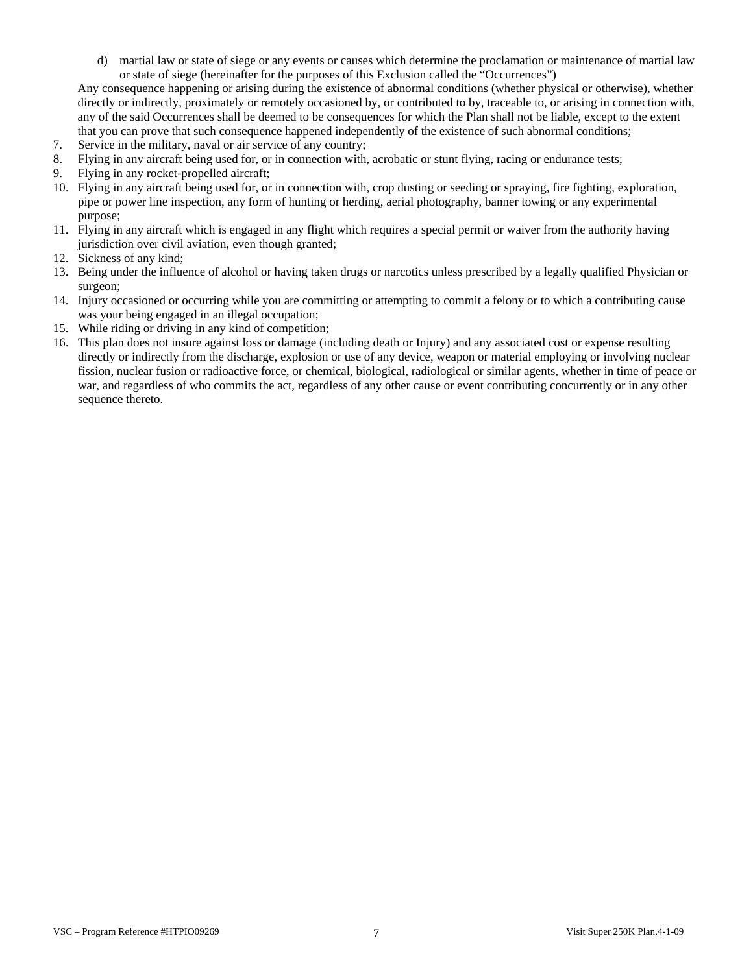d) martial law or state of siege or any events or causes which determine the proclamation or maintenance of martial law or state of siege (hereinafter for the purposes of this Exclusion called the "Occurrences")

Any consequence happening or arising during the existence of abnormal conditions (whether physical or otherwise), whether directly or indirectly, proximately or remotely occasioned by, or contributed to by, traceable to, or arising in connection with, any of the said Occurrences shall be deemed to be consequences for which the Plan shall not be liable, except to the extent that you can prove that such consequence happened independently of the existence of such abnormal conditions;

- 7. Service in the military, naval or air service of any country;
- 8. Flying in any aircraft being used for, or in connection with, acrobatic or stunt flying, racing or endurance tests;
- 9. Flying in any rocket-propelled aircraft;
- 10. Flying in any aircraft being used for, or in connection with, crop dusting or seeding or spraying, fire fighting, exploration, pipe or power line inspection, any form of hunting or herding, aerial photography, banner towing or any experimental purpose;
- 11. Flying in any aircraft which is engaged in any flight which requires a special permit or waiver from the authority having jurisdiction over civil aviation, even though granted;
- 12. Sickness of any kind;
- 13. Being under the influence of alcohol or having taken drugs or narcotics unless prescribed by a legally qualified Physician or surgeon;
- 14. Injury occasioned or occurring while you are committing or attempting to commit a felony or to which a contributing cause was your being engaged in an illegal occupation;
- 15. While riding or driving in any kind of competition;
- 16. This plan does not insure against loss or damage (including death or Injury) and any associated cost or expense resulting directly or indirectly from the discharge, explosion or use of any device, weapon or material employing or involving nuclear fission, nuclear fusion or radioactive force, or chemical, biological, radiological or similar agents, whether in time of peace or war, and regardless of who commits the act, regardless of any other cause or event contributing concurrently or in any other sequence thereto.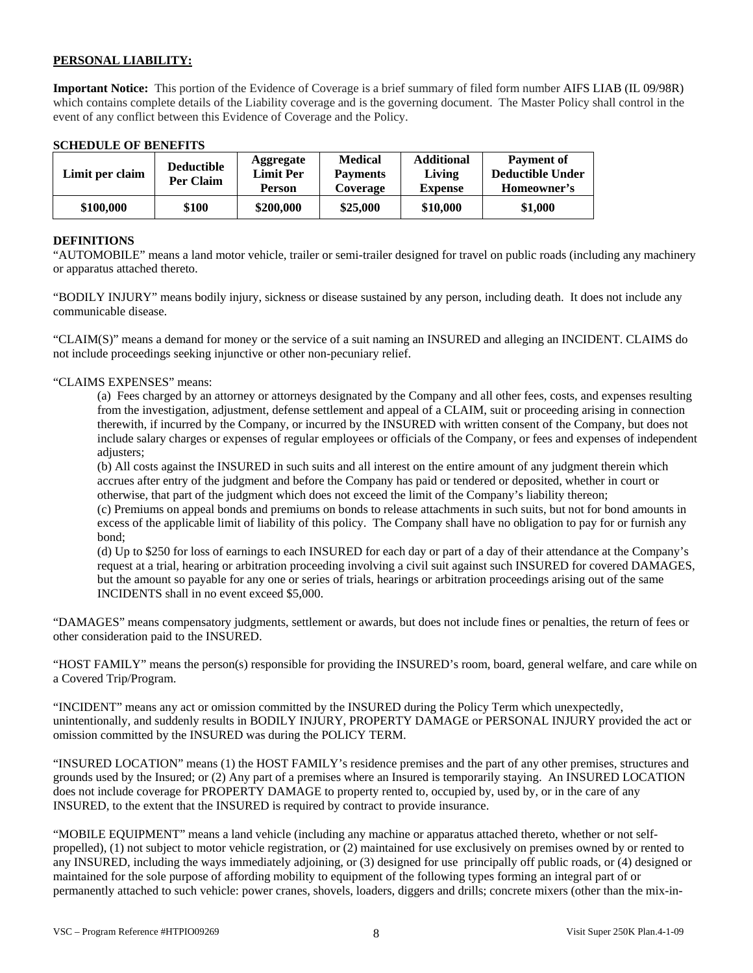# **PERSONAL LIABILITY:**

**Important Notice:** This portion of the Evidence of Coverage is a brief summary of filed form number AIFS LIAB (IL 09/98R) which contains complete details of the Liability coverage and is the governing document. The Master Policy shall control in the event of any conflict between this Evidence of Coverage and the Policy.

### **SCHEDULE OF BENEFITS**

| Limit per claim | <b>Deductible</b><br>Per Claim | <b>Aggregate</b><br><b>Limit Per</b><br><b>Person</b> | <b>Medical</b><br><b>Payments</b><br>Coverage | <b>Additional</b><br>Living<br><b>Expense</b> | <b>Payment of</b><br><b>Deductible Under</b><br>Homeowner's |
|-----------------|--------------------------------|-------------------------------------------------------|-----------------------------------------------|-----------------------------------------------|-------------------------------------------------------------|
| \$100,000       | \$100                          | \$200,000                                             | \$25,000                                      | \$10,000                                      | \$1,000                                                     |

### **DEFINITIONS**

"AUTOMOBILE" means a land motor vehicle, trailer or semi-trailer designed for travel on public roads (including any machinery or apparatus attached thereto.

"BODILY INJURY" means bodily injury, sickness or disease sustained by any person, including death. It does not include any communicable disease.

"CLAIM(S)" means a demand for money or the service of a suit naming an INSURED and alleging an INCIDENT. CLAIMS do not include proceedings seeking injunctive or other non-pecuniary relief.

# "CLAIMS EXPENSES" means:

(a) Fees charged by an attorney or attorneys designated by the Company and all other fees, costs, and expenses resulting from the investigation, adjustment, defense settlement and appeal of a CLAIM, suit or proceeding arising in connection therewith, if incurred by the Company, or incurred by the INSURED with written consent of the Company, but does not include salary charges or expenses of regular employees or officials of the Company, or fees and expenses of independent adjusters;

(b) All costs against the INSURED in such suits and all interest on the entire amount of any judgment therein which accrues after entry of the judgment and before the Company has paid or tendered or deposited, whether in court or otherwise, that part of the judgment which does not exceed the limit of the Company's liability thereon;

(c) Premiums on appeal bonds and premiums on bonds to release attachments in such suits, but not for bond amounts in excess of the applicable limit of liability of this policy. The Company shall have no obligation to pay for or furnish any bond;

(d) Up to \$250 for loss of earnings to each INSURED for each day or part of a day of their attendance at the Company's request at a trial, hearing or arbitration proceeding involving a civil suit against such INSURED for covered DAMAGES, but the amount so payable for any one or series of trials, hearings or arbitration proceedings arising out of the same INCIDENTS shall in no event exceed \$5,000.

"DAMAGES" means compensatory judgments, settlement or awards, but does not include fines or penalties, the return of fees or other consideration paid to the INSURED.

"HOST FAMILY" means the person(s) responsible for providing the INSURED's room, board, general welfare, and care while on a Covered Trip/Program.

"INCIDENT" means any act or omission committed by the INSURED during the Policy Term which unexpectedly, unintentionally, and suddenly results in BODILY INJURY, PROPERTY DAMAGE or PERSONAL INJURY provided the act or omission committed by the INSURED was during the POLICY TERM.

"INSURED LOCATION" means (1) the HOST FAMILY's residence premises and the part of any other premises, structures and grounds used by the Insured; or (2) Any part of a premises where an Insured is temporarily staying. An INSURED LOCATION does not include coverage for PROPERTY DAMAGE to property rented to, occupied by, used by, or in the care of any INSURED, to the extent that the INSURED is required by contract to provide insurance.

"MOBILE EQUIPMENT" means a land vehicle (including any machine or apparatus attached thereto, whether or not selfpropelled), (1) not subject to motor vehicle registration, or (2) maintained for use exclusively on premises owned by or rented to any INSURED, including the ways immediately adjoining, or (3) designed for use principally off public roads, or (4) designed or maintained for the sole purpose of affording mobility to equipment of the following types forming an integral part of or permanently attached to such vehicle: power cranes, shovels, loaders, diggers and drills; concrete mixers (other than the mix-in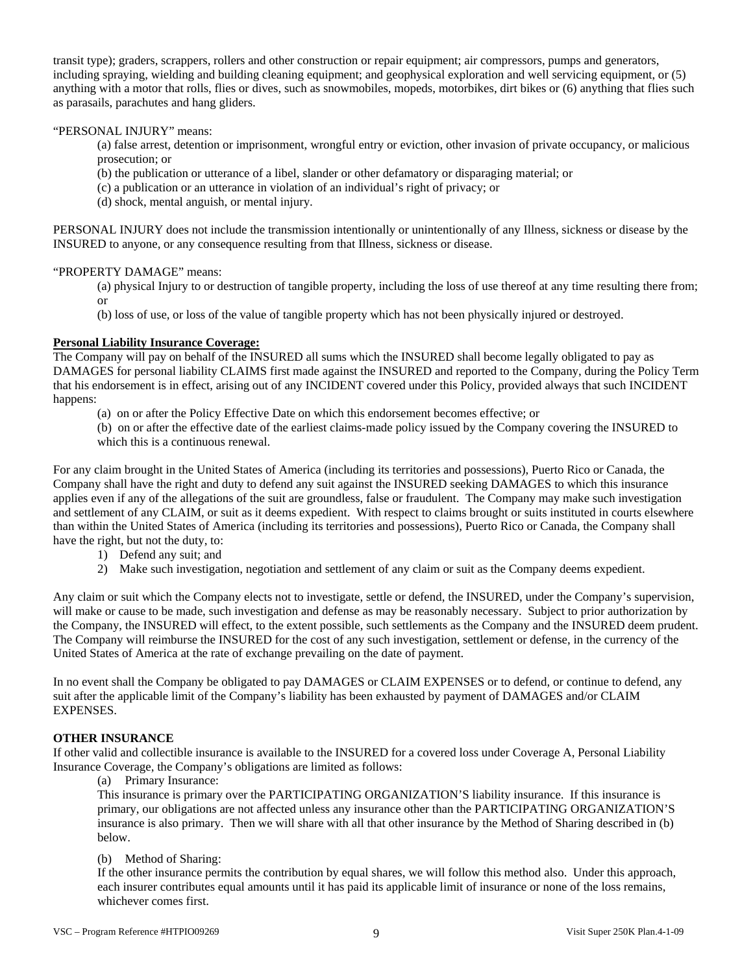transit type); graders, scrappers, rollers and other construction or repair equipment; air compressors, pumps and generators, including spraying, wielding and building cleaning equipment; and geophysical exploration and well servicing equipment, or (5) anything with a motor that rolls, flies or dives, such as snowmobiles, mopeds, motorbikes, dirt bikes or (6) anything that flies such as parasails, parachutes and hang gliders.

# "PERSONAL INJURY" means:

(a) false arrest, detention or imprisonment, wrongful entry or eviction, other invasion of private occupancy, or malicious prosecution; or

(b) the publication or utterance of a libel, slander or other defamatory or disparaging material; or

(c) a publication or an utterance in violation of an individual's right of privacy; or

(d) shock, mental anguish, or mental injury.

PERSONAL INJURY does not include the transmission intentionally or unintentionally of any Illness, sickness or disease by the INSURED to anyone, or any consequence resulting from that Illness, sickness or disease.

### "PROPERTY DAMAGE" means:

(a) physical Injury to or destruction of tangible property, including the loss of use thereof at any time resulting there from; or

(b) loss of use, or loss of the value of tangible property which has not been physically injured or destroyed.

### **Personal Liability Insurance Coverage:**

The Company will pay on behalf of the INSURED all sums which the INSURED shall become legally obligated to pay as DAMAGES for personal liability CLAIMS first made against the INSURED and reported to the Company, during the Policy Term that his endorsement is in effect, arising out of any INCIDENT covered under this Policy, provided always that such INCIDENT happens:

(a) on or after the Policy Effective Date on which this endorsement becomes effective; or

(b) on or after the effective date of the earliest claims-made policy issued by the Company covering the INSURED to which this is a continuous renewal.

For any claim brought in the United States of America (including its territories and possessions), Puerto Rico or Canada, the Company shall have the right and duty to defend any suit against the INSURED seeking DAMAGES to which this insurance applies even if any of the allegations of the suit are groundless, false or fraudulent. The Company may make such investigation and settlement of any CLAIM, or suit as it deems expedient. With respect to claims brought or suits instituted in courts elsewhere than within the United States of America (including its territories and possessions), Puerto Rico or Canada, the Company shall have the right, but not the duty, to:

- 1) Defend any suit; and
- 2) Make such investigation, negotiation and settlement of any claim or suit as the Company deems expedient.

Any claim or suit which the Company elects not to investigate, settle or defend, the INSURED, under the Company's supervision, will make or cause to be made, such investigation and defense as may be reasonably necessary. Subject to prior authorization by the Company, the INSURED will effect, to the extent possible, such settlements as the Company and the INSURED deem prudent. The Company will reimburse the INSURED for the cost of any such investigation, settlement or defense, in the currency of the United States of America at the rate of exchange prevailing on the date of payment.

In no event shall the Company be obligated to pay DAMAGES or CLAIM EXPENSES or to defend, or continue to defend, any suit after the applicable limit of the Company's liability has been exhausted by payment of DAMAGES and/or CLAIM EXPENSES.

# **OTHER INSURANCE**

If other valid and collectible insurance is available to the INSURED for a covered loss under Coverage A, Personal Liability Insurance Coverage, the Company's obligations are limited as follows:

(a) Primary Insurance:

This insurance is primary over the PARTICIPATING ORGANIZATION'S liability insurance. If this insurance is primary, our obligations are not affected unless any insurance other than the PARTICIPATING ORGANIZATION'S insurance is also primary. Then we will share with all that other insurance by the Method of Sharing described in (b) below.

# (b) Method of Sharing:

If the other insurance permits the contribution by equal shares, we will follow this method also. Under this approach, each insurer contributes equal amounts until it has paid its applicable limit of insurance or none of the loss remains, whichever comes first.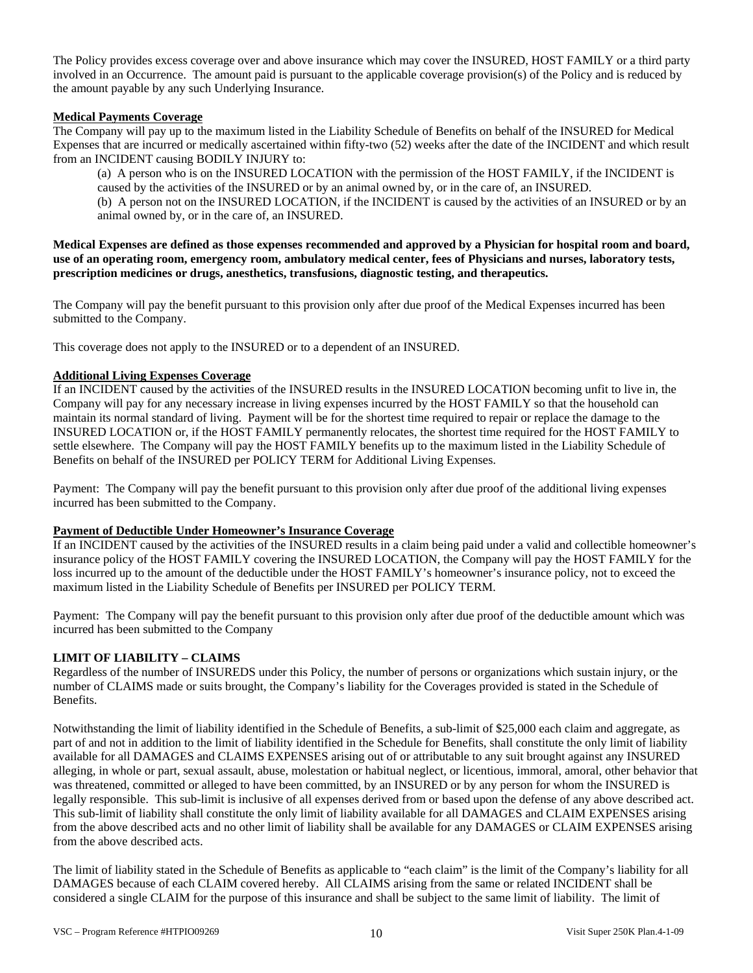The Policy provides excess coverage over and above insurance which may cover the INSURED, HOST FAMILY or a third party involved in an Occurrence. The amount paid is pursuant to the applicable coverage provision(s) of the Policy and is reduced by the amount payable by any such Underlying Insurance.

### **Medical Payments Coverage**

The Company will pay up to the maximum listed in the Liability Schedule of Benefits on behalf of the INSURED for Medical Expenses that are incurred or medically ascertained within fifty-two (52) weeks after the date of the INCIDENT and which result from an INCIDENT causing BODILY INJURY to:

(a) A person who is on the INSURED LOCATION with the permission of the HOST FAMILY, if the INCIDENT is caused by the activities of the INSURED or by an animal owned by, or in the care of, an INSURED. (b) A person not on the INSURED LOCATION, if the INCIDENT is caused by the activities of an INSURED or by an animal owned by, or in the care of, an INSURED.

**Medical Expenses are defined as those expenses recommended and approved by a Physician for hospital room and board, use of an operating room, emergency room, ambulatory medical center, fees of Physicians and nurses, laboratory tests, prescription medicines or drugs, anesthetics, transfusions, diagnostic testing, and therapeutics.** 

The Company will pay the benefit pursuant to this provision only after due proof of the Medical Expenses incurred has been submitted to the Company.

This coverage does not apply to the INSURED or to a dependent of an INSURED.

# **Additional Living Expenses Coverage**

If an INCIDENT caused by the activities of the INSURED results in the INSURED LOCATION becoming unfit to live in, the Company will pay for any necessary increase in living expenses incurred by the HOST FAMILY so that the household can maintain its normal standard of living. Payment will be for the shortest time required to repair or replace the damage to the INSURED LOCATION or, if the HOST FAMILY permanently relocates, the shortest time required for the HOST FAMILY to settle elsewhere. The Company will pay the HOST FAMILY benefits up to the maximum listed in the Liability Schedule of Benefits on behalf of the INSURED per POLICY TERM for Additional Living Expenses.

Payment: The Company will pay the benefit pursuant to this provision only after due proof of the additional living expenses incurred has been submitted to the Company.

### **Payment of Deductible Under Homeowner's Insurance Coverage**

If an INCIDENT caused by the activities of the INSURED results in a claim being paid under a valid and collectible homeowner's insurance policy of the HOST FAMILY covering the INSURED LOCATION, the Company will pay the HOST FAMILY for the loss incurred up to the amount of the deductible under the HOST FAMILY's homeowner's insurance policy, not to exceed the maximum listed in the Liability Schedule of Benefits per INSURED per POLICY TERM.

Payment: The Company will pay the benefit pursuant to this provision only after due proof of the deductible amount which was incurred has been submitted to the Company

# **LIMIT OF LIABILITY – CLAIMS**

Regardless of the number of INSUREDS under this Policy, the number of persons or organizations which sustain injury, or the number of CLAIMS made or suits brought, the Company's liability for the Coverages provided is stated in the Schedule of Benefits.

Notwithstanding the limit of liability identified in the Schedule of Benefits, a sub-limit of \$25,000 each claim and aggregate, as part of and not in addition to the limit of liability identified in the Schedule for Benefits, shall constitute the only limit of liability available for all DAMAGES and CLAIMS EXPENSES arising out of or attributable to any suit brought against any INSURED alleging, in whole or part, sexual assault, abuse, molestation or habitual neglect, or licentious, immoral, amoral, other behavior that was threatened, committed or alleged to have been committed, by an INSURED or by any person for whom the INSURED is legally responsible. This sub-limit is inclusive of all expenses derived from or based upon the defense of any above described act. This sub-limit of liability shall constitute the only limit of liability available for all DAMAGES and CLAIM EXPENSES arising from the above described acts and no other limit of liability shall be available for any DAMAGES or CLAIM EXPENSES arising from the above described acts.

The limit of liability stated in the Schedule of Benefits as applicable to "each claim" is the limit of the Company's liability for all DAMAGES because of each CLAIM covered hereby. All CLAIMS arising from the same or related INCIDENT shall be considered a single CLAIM for the purpose of this insurance and shall be subject to the same limit of liability. The limit of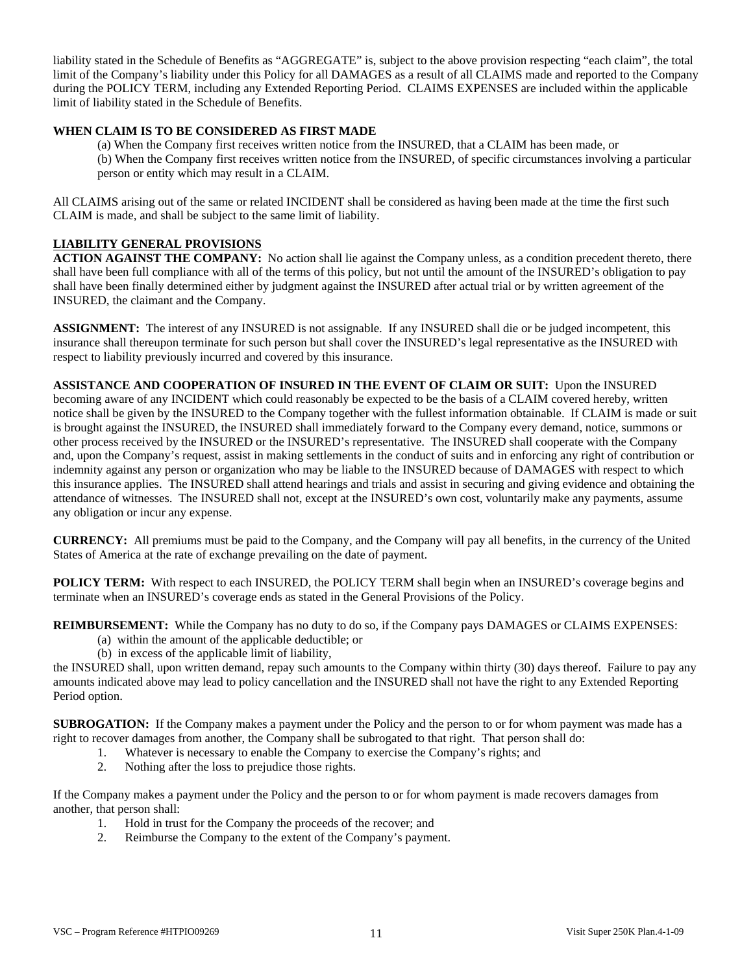liability stated in the Schedule of Benefits as "AGGREGATE" is, subject to the above provision respecting "each claim", the total limit of the Company's liability under this Policy for all DAMAGES as a result of all CLAIMS made and reported to the Company during the POLICY TERM, including any Extended Reporting Period. CLAIMS EXPENSES are included within the applicable limit of liability stated in the Schedule of Benefits.

# **WHEN CLAIM IS TO BE CONSIDERED AS FIRST MADE**

(a) When the Company first receives written notice from the INSURED, that a CLAIM has been made, or (b) When the Company first receives written notice from the INSURED, of specific circumstances involving a particular person or entity which may result in a CLAIM.

All CLAIMS arising out of the same or related INCIDENT shall be considered as having been made at the time the first such CLAIM is made, and shall be subject to the same limit of liability.

# **LIABILITY GENERAL PROVISIONS**

**ACTION AGAINST THE COMPANY:** No action shall lie against the Company unless, as a condition precedent thereto, there shall have been full compliance with all of the terms of this policy, but not until the amount of the INSURED's obligation to pay shall have been finally determined either by judgment against the INSURED after actual trial or by written agreement of the INSURED, the claimant and the Company.

**ASSIGNMENT:** The interest of any INSURED is not assignable. If any INSURED shall die or be judged incompetent, this insurance shall thereupon terminate for such person but shall cover the INSURED's legal representative as the INSURED with respect to liability previously incurred and covered by this insurance.

**ASSISTANCE AND COOPERATION OF INSURED IN THE EVENT OF CLAIM OR SUIT:** Upon the INSURED becoming aware of any INCIDENT which could reasonably be expected to be the basis of a CLAIM covered hereby, written notice shall be given by the INSURED to the Company together with the fullest information obtainable. If CLAIM is made or suit is brought against the INSURED, the INSURED shall immediately forward to the Company every demand, notice, summons or other process received by the INSURED or the INSURED's representative. The INSURED shall cooperate with the Company and, upon the Company's request, assist in making settlements in the conduct of suits and in enforcing any right of contribution or indemnity against any person or organization who may be liable to the INSURED because of DAMAGES with respect to which this insurance applies. The INSURED shall attend hearings and trials and assist in securing and giving evidence and obtaining the attendance of witnesses. The INSURED shall not, except at the INSURED's own cost, voluntarily make any payments, assume any obligation or incur any expense.

**CURRENCY:** All premiums must be paid to the Company, and the Company will pay all benefits, in the currency of the United States of America at the rate of exchange prevailing on the date of payment.

**POLICY TERM:** With respect to each INSURED, the POLICY TERM shall begin when an INSURED's coverage begins and terminate when an INSURED's coverage ends as stated in the General Provisions of the Policy.

**REIMBURSEMENT:** While the Company has no duty to do so, if the Company pays DAMAGES or CLAIMS EXPENSES:

- (a) within the amount of the applicable deductible; or
- (b) in excess of the applicable limit of liability,

the INSURED shall, upon written demand, repay such amounts to the Company within thirty (30) days thereof. Failure to pay any amounts indicated above may lead to policy cancellation and the INSURED shall not have the right to any Extended Reporting Period option.

**SUBROGATION:** If the Company makes a payment under the Policy and the person to or for whom payment was made has a right to recover damages from another, the Company shall be subrogated to that right. That person shall do:

- 1. Whatever is necessary to enable the Company to exercise the Company's rights; and
- 2. Nothing after the loss to prejudice those rights.

If the Company makes a payment under the Policy and the person to or for whom payment is made recovers damages from another, that person shall:

- 1. Hold in trust for the Company the proceeds of the recover; and
- 2. Reimburse the Company to the extent of the Company's payment.